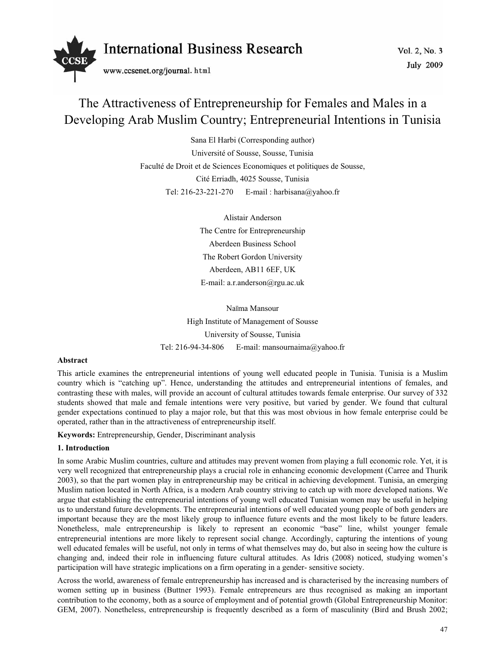

# The Attractiveness of Entrepreneurship for Females and Males in a Developing Arab Muslim Country; Entrepreneurial Intentions in Tunisia

Sana El Harbi (Corresponding author) Université of Sousse, Sousse, Tunisia Faculté de Droit et de Sciences Economiques et politiques de Sousse, Cité Erriadh, 4025 Sousse, Tunisia Tel: 216-23-221-270 E-mail : harbisana@yahoo.fr

> Alistair Anderson The Centre for Entrepreneurship Aberdeen Business School The Robert Gordon University Aberdeen, AB11 6EF, UK E-mail: a.r.anderson@rgu.ac.uk

Naïma Mansour High Institute of Management of Sousse University of Sousse, Tunisia Tel: 216-94-34-806 E-mail: mansournaima@yahoo.fr

# **Abstract**

This article examines the entrepreneurial intentions of young well educated people in Tunisia. Tunisia is a Muslim country which is "catching up". Hence, understanding the attitudes and entrepreneurial intentions of females, and contrasting these with males, will provide an account of cultural attitudes towards female enterprise. Our survey of 332 students showed that male and female intentions were very positive, but varied by gender. We found that cultural gender expectations continued to play a major role, but that this was most obvious in how female enterprise could be operated, rather than in the attractiveness of entrepreneurship itself.

**Keywords:** Entrepreneurship, Gender, Discriminant analysis

# **1. Introduction**

In some Arabic Muslim countries, culture and attitudes may prevent women from playing a full economic role. Yet, it is very well recognized that entrepreneurship plays a crucial role in enhancing economic development (Carree and Thurik 2003), so that the part women play in entrepreneurship may be critical in achieving development. Tunisia, an emerging Muslim nation located in North Africa, is a modern Arab country striving to catch up with more developed nations. We argue that establishing the entrepreneurial intentions of young well educated Tunisian women may be useful in helping us to understand future developments. The entrepreneurial intentions of well educated young people of both genders are important because they are the most likely group to influence future events and the most likely to be future leaders. Nonetheless, male entrepreneurship is likely to represent an economic "base" line, whilst younger female entrepreneurial intentions are more likely to represent social change. Accordingly, capturing the intentions of young well educated females will be useful, not only in terms of what themselves may do, but also in seeing how the culture is changing and, indeed their role in influencing future cultural attitudes. As Idris (2008) noticed, studying women's participation will have strategic implications on a firm operating in a gender- sensitive society.

Across the world, awareness of female entrepreneurship has increased and is characterised by the increasing numbers of women setting up in business (Buttner 1993). Female entrepreneurs are thus recognised as making an important contribution to the economy, both as a source of employment and of potential growth (Global Entrepreneurship Monitor: GEM, 2007). Nonetheless, entrepreneurship is frequently described as a form of masculinity (Bird and Brush 2002;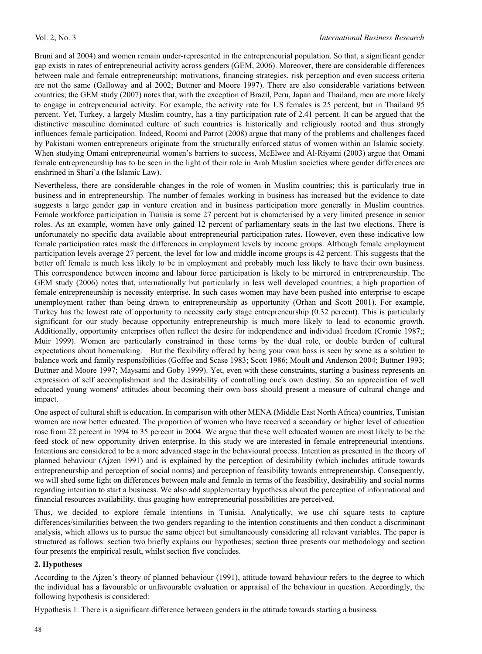Bruni and al 2004) and women remain under-represented in the entrepreneurial population. So that, a significant gender gap exists in rates of entrepreneurial activity across genders (GEM, 2006). Moreover, there are considerable differences between male and female entrepreneurship; motivations, financing strategies, risk perception and even success criteria are not the same (Galloway and al 2002; Buttner and Moore 1997). There are also considerable variations between countries; the GEM study (2007) notes that, with the exception of Brazil, Peru, Japan and Thailand, men are more likely to engage in entrepreneurial activity. For example, the activity rate for US females is 25 percent, but in Thailand 95 percent. Yet, Turkey, a largely Muslim country, has a tiny participation rate of 2.41 percent. It can be argued that the distinctive masculine dominated culture of such countries is historically and religiously rooted and thus strongly influences female participation. Indeed, Roomi and Parrot (2008) argue that many of the problems and challenges faced by Pakistani women entrepreneurs originate from the structurally enforced status of women within an Islamic society. When studying Omani entrepreneurial women's barriers to success, McElwee and Al-Riyami (2003) argue that Omani female entrepreneurship has to be seen in the light of their role in Arab Muslim societies where gender differences are enshrined in Shari'a (the Islamic Law).

Nevertheless, there are considerable changes in the role of women in Muslim countries; this is particularly true in business and in entrepreneurship. The number of females working in business has increased but the evidence to date suggests a large gender gap in venture creation and in business participation more generally in Muslim countries. Female workforce participation in Tunisia is some 27 percent but is characterised by a very limited presence in senior roles. As an example, women have only gained 12 percent of parliamentary seats in the last two elections. There is unfortunately no specific data available about entrepreneurial participation rates. However, even these indicative low female participation rates mask the differences in employment levels by income groups. Although female employment participation levels average 27 percent, the level for low and middle income groups is 42 percent. This suggests that the better off female is much less likely to be in employment and probably much less likely to have their own business. This correspondence between income and labour force participation is likely to be mirrored in entrepreneurship. The GEM study (2006) notes that, internationally but particularly in less well developed countries; a high proportion of female entrepreneurship is necessity enterprise. In such cases women may have been pushed into enterprise to escape unemployment rather than being drawn to entrepreneurship as opportunity (Orhan and Scott 2001). For example, Turkey has the lowest rate of opportunity to necessity early stage entrepreneurship (0.32 percent). This is particularly significant for our study because opportunity entrepreneurship is much more likely to lead to economic growth. Additionally, opportunity enterprises often reflect the desire for independence and individual freedom (Cromie 1987;; Muir 1999). Women are particularly constrained in these terms by the dual role, or double burden of cultural expectations about homemaking. But the flexibility offered by being your own boss is seen by some as a solution to balance work and family responsibilities (Goffee and Scase 1983; Scott 1986; Moult and Anderson 2004; Buttner 1993; Buttner and Moore 1997; Maysami and Goby 1999). Yet, even with these constraints, starting a business represents an expression of self accomplishment and the desirability of controlling one's own destiny. So an appreciation of well educated young womens' attitudes about becoming their own boss should present a measure of cultural change and impact.

One aspect of cultural shift is education. In comparison with other MENA (Middle East North Africa) countries, Tunisian women are now better educated. The proportion of women who have received a secondary or higher level of education rose from 22 percent in 1994 to 35 percent in 2004. We argue that these well educated women are most likely to be the feed stock of new opportunity driven enterprise. In this study we are interested in female entrepreneurial intentions. Intentions are considered to be a more advanced stage in the behavioural process. Intention as presented in the theory of planned behaviour (Ajzen 1991) and is explained by the perception of desirability (which includes attitude towards entrepreneurship and perception of social norms) and perception of feasibility towards entrepreneurship. Consequently, we will shed some light on differences between male and female in terms of the feasibility, desirability and social norms regarding intention to start a business. We also add supplementary hypothesis about the perception of informational and financial resources availability, thus gauging how entrepreneurial possibilities are perceived.

Thus, we decided to explore female intentions in Tunisia. Analytically, we use chi square tests to capture differences/similarities between the two genders regarding to the intention constituents and then conduct a discriminant analysis, which allows us to pursue the same object but simultaneously considering all relevant variables. The paper is structured as follows: section two briefly explains our hypotheses; section three presents our methodology and section four presents the empirical result, whilst section five concludes.

# **2. Hypotheses**

According to the Ajzen's theory of planned behaviour (1991), attitude toward behaviour refers to the degree to which the individual has a favourable or unfavourable evaluation or appraisal of the behaviour in question. Accordingly, the following hypothesis is considered:

Hypothesis 1: There is a significant difference between genders in the attitude towards starting a business.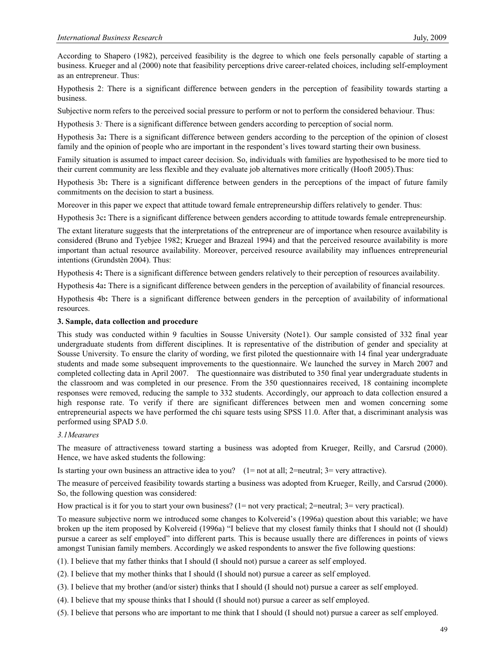According to Shapero (1982), perceived feasibility is the degree to which one feels personally capable of starting a business. Krueger and al (2000) note that feasibility perceptions drive career-related choices, including self-employment as an entrepreneur. Thus:

Hypothesis 2: There is a significant difference between genders in the perception of feasibility towards starting a business.

Subjective norm refers to the perceived social pressure to perform or not to perform the considered behaviour. Thus:

Hypothesis 3*:* There is a significant difference between genders according to perception of social norm.

Hypothesis 3a**:** There is a significant difference between genders according to the perception of the opinion of closest family and the opinion of people who are important in the respondent's lives toward starting their own business.

Family situation is assumed to impact career decision. So, individuals with families are hypothesised to be more tied to their current community are less flexible and they evaluate job alternatives more critically (Hooft 2005).Thus:

Hypothesis 3b**:** There is a significant difference between genders in the perceptions of the impact of future family commitments on the decision to start a business.

Moreover in this paper we expect that attitude toward female entrepreneurship differs relatively to gender. Thus:

Hypothesis 3c**:** There is a significant difference between genders according to attitude towards female entrepreneurship.

The extant literature suggests that the interpretations of the entrepreneur are of importance when resource availability is considered (Bruno and Tyebjee 1982; Krueger and Brazeal 1994) and that the perceived resource availability is more important than actual resource availability. Moreover, perceived resource availability may influences entrepreneurial intentions (Grundstèn 2004). Thus:

Hypothesis 4**:** There is a significant difference between genders relatively to their perception of resources availability.

Hypothesis 4a**:** There is a significant difference between genders in the perception of availability of financial resources.

Hypothesis 4b**:** There is a significant difference between genders in the perception of availability of informational resources.

#### **3. Sample, data collection and procedure**

This study was conducted within 9 faculties in Sousse University (Note1). Our sample consisted of 332 final year undergraduate students from different disciplines. It is representative of the distribution of gender and speciality at Sousse University. To ensure the clarity of wording, we first piloted the questionnaire with 14 final year undergraduate students and made some subsequent improvements to the questionnaire. We launched the survey in March 2007 and completed collecting data in April 2007. The questionnaire was distributed to 350 final year undergraduate students in the classroom and was completed in our presence. From the 350 questionnaires received, 18 containing incomplete responses were removed, reducing the sample to 332 students. Accordingly, our approach to data collection ensured a high response rate. To verify if there are significant differences between men and women concerning some entrepreneurial aspects we have performed the chi square tests using SPSS 11.0. After that, a discriminant analysis was performed using SPAD 5.0.

#### *3.1Measures*

The measure of attractiveness toward starting a business was adopted from Krueger, Reilly, and Carsrud (2000). Hence, we have asked students the following:

Is starting your own business an attractive idea to you?  $(1=$  not at all;  $2=$  neutral;  $3=$  very attractive).

The measure of perceived feasibility towards starting a business was adopted from Krueger, Reilly, and Carsrud (2000). So, the following question was considered:

How practical is it for you to start your own business? (1= not very practical; 2=neutral; 3= very practical).

To measure subjective norm we introduced some changes to Kolvereid's (1996a) question about this variable; we have broken up the item proposed by Kolvereid (1996a) "I believe that my closest family thinks that I should not (I should) pursue a career as self employed" into different parts. This is because usually there are differences in points of views amongst Tunisian family members. Accordingly we asked respondents to answer the five following questions:

(1). I believe that my father thinks that I should (I should not) pursue a career as self employed.

(2). I believe that my mother thinks that I should (I should not) pursue a career as self employed.

(3). I believe that my brother (and/or sister) thinks that I should (I should not) pursue a career as self employed.

(4). I believe that my spouse thinks that I should (I should not) pursue a career as self employed.

(5). I believe that persons who are important to me think that I should (I should not) pursue a career as self employed.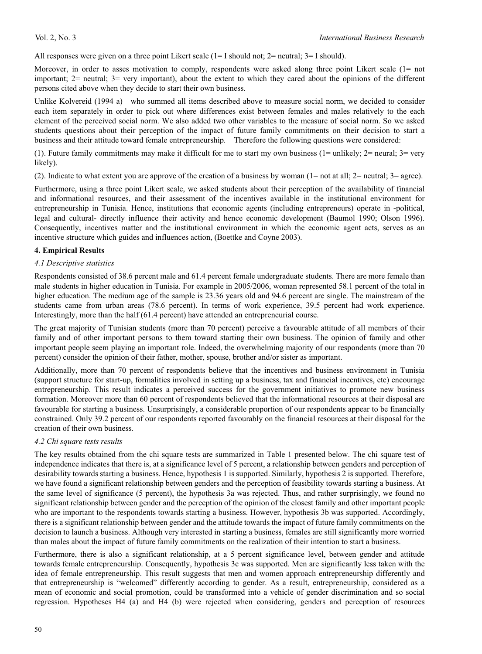All responses were given on a three point Likert scale (1= I should not; 2= neutral; 3= I should).

Moreover, in order to asses motivation to comply, respondents were asked along three point Likert scale (1= not important; 2= neutral; 3= very important), about the extent to which they cared about the opinions of the different persons cited above when they decide to start their own business.

Unlike Kolvereid (1994 a) who summed all items described above to measure social norm, we decided to consider each item separately in order to pick out where differences exist between females and males relatively to the each element of the perceived social norm. We also added two other variables to the measure of social norm. So we asked students questions about their perception of the impact of future family commitments on their decision to start a business and their attitude toward female entrepreneurship. Therefore the following questions were considered:

(1). Future family commitments may make it difficult for me to start my own business (1= unlikely;  $2=$  neural;  $3=$  very likely).

(2). Indicate to what extent you are approve of the creation of a business by woman ( $1=$  not at all;  $2=$  neutral;  $3=$  agree).

Furthermore, using a three point Likert scale, we asked students about their perception of the availability of financial and informational resources, and their assessment of the incentives available in the institutional environment for entrepreneurship in Tunisia. Hence, institutions that economic agents (including entrepreneurs) operate in -political, legal and cultural- directly influence their activity and hence economic development (Baumol 1990; Olson 1996). Consequently, incentives matter and the institutional environment in which the economic agent acts, serves as an incentive structure which guides and influences action, (Boettke and Coyne 2003).

#### **4. Empirical Results**

#### *4.1 Descriptive statistics*

Respondents consisted of 38.6 percent male and 61.4 percent female undergraduate students. There are more female than male students in higher education in Tunisia. For example in 2005/2006, woman represented 58.1 percent of the total in higher education. The medium age of the sample is 23.36 years old and 94.6 percent are single. The mainstream of the students came from urban areas (78.6 percent). In terms of work experience, 39.5 percent had work experience. Interestingly, more than the half (61.4 percent) have attended an entrepreneurial course.

The great majority of Tunisian students (more than 70 percent) perceive a favourable attitude of all members of their family and of other important persons to them toward starting their own business. The opinion of family and other important people seem playing an important role. Indeed, the overwhelming majority of our respondents (more than 70 percent) consider the opinion of their father, mother, spouse, brother and/or sister as important.

Additionally, more than 70 percent of respondents believe that the incentives and business environment in Tunisia (support structure for start-up, formalities involved in setting up a business, tax and financial incentives, etc) encourage entrepreneurship. This result indicates a perceived success for the government initiatives to promote new business formation. Moreover more than 60 percent of respondents believed that the informational resources at their disposal are favourable for starting a business. Unsurprisingly, a considerable proportion of our respondents appear to be financially constrained. Only 39.2 percent of our respondents reported favourably on the financial resources at their disposal for the creation of their own business.

#### *4.2 Chi square tests results*

The key results obtained from the chi square tests are summarized in Table 1 presented below. The chi square test of independence indicates that there is, at a significance level of 5 percent, a relationship between genders and perception of desirability towards starting a business. Hence, hypothesis 1 is supported. Similarly, hypothesis 2 is supported. Therefore, we have found a significant relationship between genders and the perception of feasibility towards starting a business. At the same level of significance (5 percent), the hypothesis 3a was rejected. Thus, and rather surprisingly, we found no significant relationship between gender and the perception of the opinion of the closest family and other important people who are important to the respondents towards starting a business. However, hypothesis 3b was supported. Accordingly, there is a significant relationship between gender and the attitude towards the impact of future family commitments on the decision to launch a business. Although very interested in starting a business, females are still significantly more worried than males about the impact of future family commitments on the realization of their intention to start a business.

Furthermore, there is also a significant relationship, at a 5 percent significance level, between gender and attitude towards female entrepreneurship. Consequently, hypothesis 3c was supported. Men are significantly less taken with the idea of female entrepreneurship. This result suggests that men and women approach entrepreneurship differently and that entrepreneurship is "welcomed" differently according to gender. As a result, entrepreneurship, considered as a mean of economic and social promotion, could be transformed into a vehicle of gender discrimination and so social regression. Hypotheses H4 (a) and H4 (b) were rejected when considering, genders and perception of resources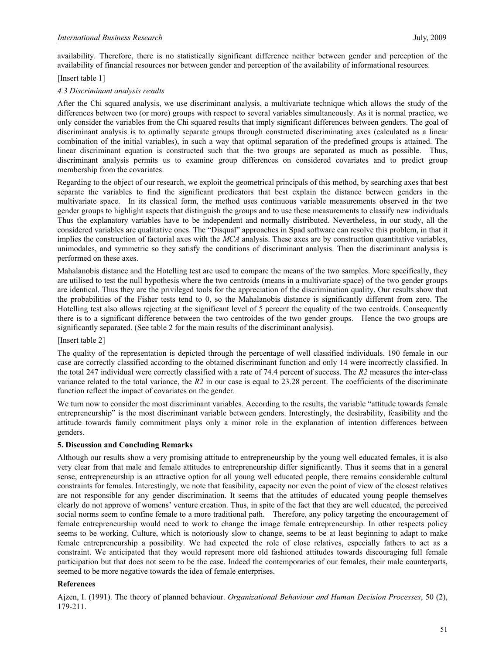availability. Therefore, there is no statistically significant difference neither between gender and perception of the availability of financial resources nor between gender and perception of the availability of informational resources.

## [Insert table 1]

## *4.3 Discriminant analysis results*

After the Chi squared analysis, we use discriminant analysis, a multivariate technique which allows the study of the differences between two (or more) groups with respect to several variables simultaneously. As it is normal practice, we only consider the variables from the Chi squared results that imply significant differences between genders. The goal of discriminant analysis is to optimally separate groups through constructed discriminating axes (calculated as a linear combination of the initial variables), in such a way that optimal separation of the predefined groups is attained. The linear discriminant equation is constructed such that the two groups are separated as much as possible. Thus, discriminant analysis permits us to examine group differences on considered covariates and to predict group membership from the covariates.

Regarding to the object of our research, we exploit the geometrical principals of this method, by searching axes that best separate the variables to find the significant predicators that best explain the distance between genders in the multivariate space. In its classical form, the method uses continuous variable measurements observed in the two gender groups to highlight aspects that distinguish the groups and to use these measurements to classify new individuals. Thus the explanatory variables have to be independent and normally distributed. Nevertheless, in our study, all the considered variables are qualitative ones. The "Disqual" approaches in Spad software can resolve this problem, in that it implies the construction of factorial axes with the *MCA* analysis. These axes are by construction quantitative variables, unimodales, and symmetric so they satisfy the conditions of discriminant analysis. Then the discriminant analysis is performed on these axes.

Mahalanobis distance and the Hotelling test are used to compare the means of the two samples. More specifically, they are utilised to test the null hypothesis where the two centroids (means in a multivariate space) of the two gender groups are identical. Thus they are the privileged tools for the appreciation of the discrimination quality. Our results show that the probabilities of the Fisher tests tend to 0, so the Mahalanobis distance is significantly different from zero. The Hotelling test also allows rejecting at the significant level of 5 percent the equality of the two centroids. Consequently there is to a significant difference between the two centroides of the two gender groups. Hence the two groups are significantly separated. (See table 2 for the main results of the discriminant analysis).

# [Insert table 2]

The quality of the representation is depicted through the percentage of well classified individuals. 190 female in our case are correctly classified according to the obtained discriminant function and only 14 were incorrectly classified. In the total 247 individual were correctly classified with a rate of 74.4 percent of success. The *R2* measures the inter-class variance related to the total variance, the *R2* in our case is equal to 23.28 percent. The coefficients of the discriminate function reflect the impact of covariates on the gender.

We turn now to consider the most discriminant variables. According to the results, the variable "attitude towards female entrepreneurship" is the most discriminant variable between genders. Interestingly, the desirability, feasibility and the attitude towards family commitment plays only a minor role in the explanation of intention differences between genders.

# **5. Discussion and Concluding Remarks**

Although our results show a very promising attitude to entrepreneurship by the young well educated females, it is also very clear from that male and female attitudes to entrepreneurship differ significantly. Thus it seems that in a general sense, entrepreneurship is an attractive option for all young well educated people, there remains considerable cultural constraints for females. Interestingly, we note that feasibility, capacity nor even the point of view of the closest relatives are not responsible for any gender discrimination. It seems that the attitudes of educated young people themselves clearly do not approve of womens' venture creation. Thus, in spite of the fact that they are well educated, the perceived social norms seem to confine female to a more traditional path. Therefore, any policy targeting the encouragement of female entrepreneurship would need to work to change the image female entrepreneurship. In other respects policy seems to be working. Culture, which is notoriously slow to change, seems to be at least beginning to adapt to make female entrepreneurship a possibility. We had expected the role of close relatives, especially fathers to act as a constraint. We anticipated that they would represent more old fashioned attitudes towards discouraging full female participation but that does not seem to be the case. Indeed the contemporaries of our females, their male counterparts, seemed to be more negative towards the idea of female enterprises.

# **References**

Ajzen, I. (1991). The theory of planned behaviour. *Organizational Behaviour and Human Decision Processes*, 50 (2), 179-211.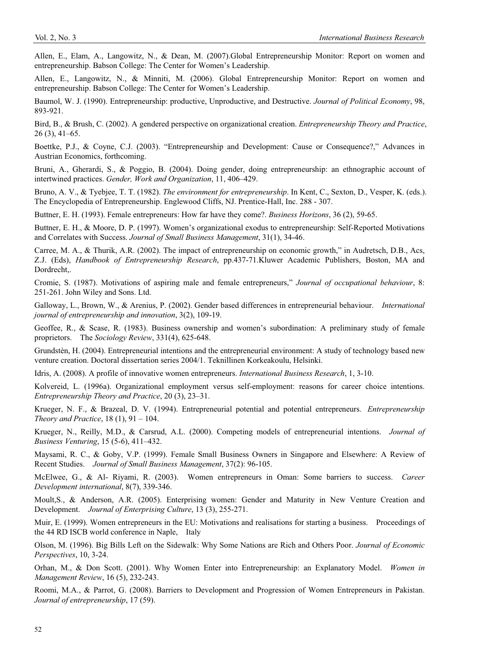Allen, E., Elam, A., Langowitz, N., & Dean, M. (2007).Global Entrepreneurship Monitor: Report on women and entrepreneurship. Babson College: The Center for Women's Leadership.

Allen, E., Langowitz, N., & Minniti, M. (2006). Global Entrepreneurship Monitor: Report on women and entrepreneurship. Babson College: The Center for Women's Leadership.

Baumol, W. J. (1990). Entrepreneurship: productive, Unproductive, and Destructive. *Journal of Political Economy*, 98, 893-921.

Bird, B., & Brush, C. (2002). A gendered perspective on organizational creation. *Entrepreneurship Theory and Practice*, 26 (3), 41–65.

Boettke, P.J., & Coyne, C.J. (2003). "Entrepreneurship and Development: Cause or Consequence?," Advances in Austrian Economics, forthcoming.

Bruni, A., Gherardi, S., & Poggio, B. (2004). Doing gender, doing entrepreneurship: an ethnographic account of intertwined practices. *Gender, Work and Organization*, 11, 406–429.

Bruno, A. V., & Tyebjee, T. T. (1982). *The environment for entrepreneurship*. In Kent, C., Sexton, D., Vesper, K. (eds.). The Encyclopedia of Entrepreneurship. Englewood Cliffs, NJ. Prentice-Hall, Inc. 288 - 307.

Buttner, E. H. (1993). Female entrepreneurs: How far have they come?. *Business Horizons*, 36 (2), 59-65.

Buttner, E. H., & Moore, D. P. (1997). Women's organizational exodus to entrepreneurship: Self-Reported Motivations and Correlates with Success. *Journal of Small Business Management*, 31(1), 34-46.

Carree, M. A., & Thurik, A.R. (2002). The impact of entrepreneurship on economic growth," in Audretsch, D.B., Acs, Z.J. (Eds), *Handbook of Entrepreneurship Research*, pp.437-71.Kluwer Academic Publishers, Boston, MA and Dordrecht,.

Cromie, S. (1987). Motivations of aspiring male and female entrepreneurs," *Journal of occupational behaviour*, 8: 251-261. John Wiley and Sons. Ltd.

Galloway, L., Brown, W., & Arenius, P. (2002). Gender based differences in entrepreneurial behaviour. *International journal of entrepreneurship and innovation*, 3(2), 109-19.

Geoffee, R., & Scase, R. (1983). Business ownership and women's subordination: A preliminary study of female proprietors. The *Sociology Review*, 331(4), 625-648.

Grundstèn, H. (2004). Entrepreneurial intentions and the entrepreneurial environment: A study of technology based new venture creation. Doctoral dissertation series 2004/1. Teknillinen Korkeakoulu, Helsinki.

Idris, A. (2008). A profile of innovative women entrepreneurs. *International Business Research*, 1, 3-10.

Kolvereid, L. (1996a). Organizational employment versus self-employment: reasons for career choice intentions. *Entrepreneurship Theory and Practice*, 20 (3), 23–31.

Krueger, N. F., & Brazeal, D. V. (1994). Entrepreneurial potential and potential entrepreneurs. *Entrepreneurship Theory and Practice*, 18 (1), 91 – 104.

Krueger, N., Reilly, M.D., & Carsrud, A.L. (2000). Competing models of entrepreneurial intentions. *Journal of Business Venturing*, 15 (5-6), 411–432.

Maysami, R. C., & Goby, V.P. (1999). Female Small Business Owners in Singapore and Elsewhere: A Review of Recent Studies. *Journal of Small Business Management*, 37(2): 96-105.

McElwee, G., & Al- Riyami, R. (2003). Women entrepreneurs in Oman: Some barriers to success. *Career Development international*, 8(7), 339-346.

Moult,S., & Anderson, A.R. (2005). Enterprising women: Gender and Maturity in New Venture Creation and Development. *Journal of Enterprising Culture*, 13 (3), 255-271.

Muir, E. (1999). Women entrepreneurs in the EU: Motivations and realisations for starting a business. Proceedings of the 44 RD ISCB world conference in Naple, Italy

Olson, M. (1996). Big Bills Left on the Sidewalk: Why Some Nations are Rich and Others Poor. *Journal of Economic Perspectives*, 10, 3-24.

Orhan, M., & Don Scott. (2001). Why Women Enter into Entrepreneurship: an Explanatory Model. *Women in Management Review*, 16 (5), 232-243.

Roomi, M.A., & Parrot, G. (2008). Barriers to Development and Progression of Women Entrepreneurs in Pakistan. *Journal of entrepreneurship*, 17 (59).